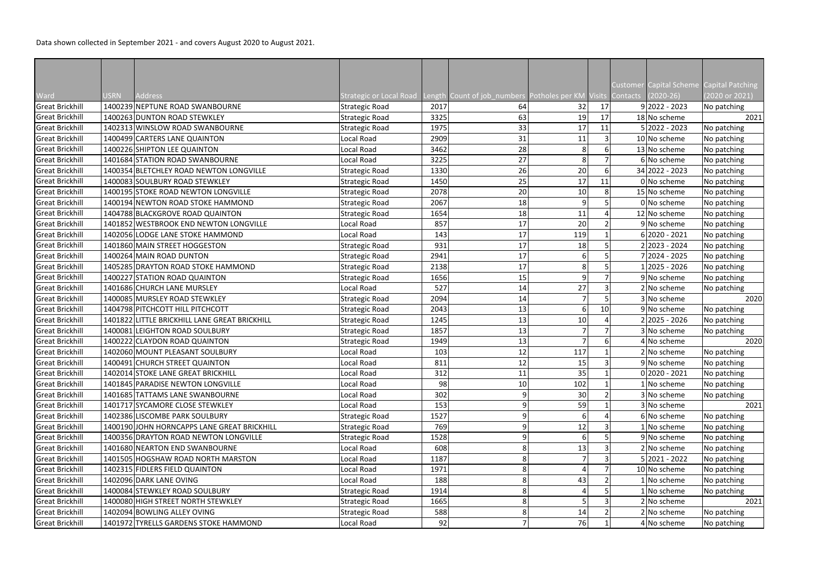|                        |             |                                               |                                |      |                                                   |                 |    |          | Customer Capital Scheme | <b>Capital Patching</b><br>(2020 or 2021) |
|------------------------|-------------|-----------------------------------------------|--------------------------------|------|---------------------------------------------------|-----------------|----|----------|-------------------------|-------------------------------------------|
| Ward                   | <b>USRN</b> | Address<br>1400239 NEPTUNE ROAD SWANBOURNE    | <b>Strategic or Local Road</b> |      | ength Count of job_numbers Potholes per KM_Visits |                 |    | Contacts | $(2020-26)$             |                                           |
| <b>Great Brickhill</b> |             |                                               | <b>Strategic Road</b>          | 2017 | 64                                                | 32              | 17 |          | $9 2022 - 2023$         | No patching                               |
| <b>Great Brickhill</b> |             | 1400263 DUNTON ROAD STEWKLEY                  | <b>Strategic Road</b>          | 3325 | 63                                                | 19              | 17 |          | 18 No scheme            | 2021                                      |
| <b>Great Brickhill</b> |             | 1402313 WINSLOW ROAD SWANBOURNE               | <b>Strategic Road</b>          | 1975 | 33                                                | 17              | 11 |          | 5 2022 - 2023           | No patching                               |
| <b>Great Brickhill</b> |             | 1400499 CARTERS LANE QUAINTON                 | Local Road                     | 2909 | 31                                                | 11              |    |          | 10 No scheme            | No patching                               |
| <b>Great Brickhill</b> |             | 1400226 SHIPTON LEE QUAINTON                  | Local Road                     | 3462 | 28                                                | 8 <sup>1</sup>  |    |          | 13 No scheme            | No patching                               |
| <b>Great Brickhill</b> |             | 1401684 STATION ROAD SWANBOURNE               | Local Road                     | 3225 | 27                                                | 8 <sup>1</sup>  |    |          | 6 No scheme             | No patching                               |
| <b>Great Brickhill</b> |             | 1400354 BLETCHLEY ROAD NEWTON LONGVILLE       | Strategic Road                 | 1330 | 26                                                | 20              |    |          | 34 2022 - 2023          | No patching                               |
| <b>Great Brickhill</b> |             | 1400083 SOULBURY ROAD STEWKLEY                | <b>Strategic Road</b>          | 1450 | 25                                                | 17              | 11 |          | 0 No scheme             | No patching                               |
| <b>Great Brickhill</b> |             | 1400195 STOKE ROAD NEWTON LONGVILLE           | Strategic Road                 | 2078 | 20                                                | 10              |    |          | 15 No scheme            | No patching                               |
| <b>Great Brickhill</b> |             | 1400194 NEWTON ROAD STOKE HAMMOND             | <b>Strategic Road</b>          | 2067 | 18                                                | $\overline{9}$  |    |          | 0 No scheme             | No patching                               |
| <b>Great Brickhill</b> |             | 1404788 BLACKGROVE ROAD QUAINTON              | Strategic Road                 | 1654 | 18                                                | 11              |    |          | 12 No scheme            | No patching                               |
| <b>Great Brickhill</b> |             | 1401852 WESTBROOK END NEWTON LONGVILLE        | Local Road                     | 857  | 17                                                | 20              |    |          | 9 No scheme             | No patching                               |
| <b>Great Brickhill</b> |             | 1402056 LODGE LANE STOKE HAMMOND              | Local Road                     | 143  | 17                                                | 119             |    |          | 6 2020 - 2021           | No patching                               |
| <b>Great Brickhill</b> |             | 1401860 MAIN STREET HOGGESTON                 | Strategic Road                 | 931  | 17                                                | 18              |    |          | 2 2023 - 2024           | No patching                               |
| <b>Great Brickhill</b> |             | 1400264 MAIN ROAD DUNTON                      | <b>Strategic Road</b>          | 2941 | 17                                                | 6               |    |          | 7 2024 - 2025           | No patching                               |
| <b>Great Brickhill</b> |             | 1405285 DRAYTON ROAD STOKE HAMMOND            | <b>Strategic Road</b>          | 2138 | 17                                                | 8               |    |          | 2025 - 2026             | No patching                               |
| <b>Great Brickhill</b> |             | 1400227 STATION ROAD QUAINTON                 | <b>Strategic Road</b>          | 1656 | 15                                                | 9               |    |          | 9 No scheme             | No patching                               |
| <b>Great Brickhill</b> |             | 1401686 CHURCH LANE MURSLEY                   | Local Road                     | 527  | 14                                                | 27              |    |          | 2 No scheme             | No patching                               |
| <b>Great Brickhill</b> |             | 1400085 MURSLEY ROAD STEWKLEY                 | Strategic Road                 | 2094 | 14                                                | $\overline{7}$  |    |          | 3 No scheme             | 2020                                      |
| <b>Great Brickhill</b> |             | 1404798 PITCHCOTT HILL PITCHCOTT              | <b>Strategic Road</b>          | 2043 | 13                                                | 6               | 10 |          | 9 No scheme             | No patching                               |
| <b>Great Brickhill</b> |             | 1401822 LITTLE BRICKHILL LANE GREAT BRICKHILL | Strategic Road                 | 1245 | 13                                                | 10              |    |          | 22025 - 2026            | No patching                               |
| <b>Great Brickhill</b> |             | 1400081 LEIGHTON ROAD SOULBURY                | <b>Strategic Road</b>          | 1857 | 13                                                |                 |    |          | 3 No scheme             | No patching                               |
| <b>Great Brickhill</b> |             | 1400222 CLAYDON ROAD QUAINTON                 | Strategic Road                 | 1949 | 13                                                |                 |    |          | 4 No scheme             | 2020                                      |
| <b>Great Brickhill</b> |             | 1402060 MOUNT PLEASANT SOULBURY               | Local Road                     | 103  | 12                                                | 117             |    |          | 2 No scheme             | No patching                               |
| <b>Great Brickhill</b> |             | 1400491 CHURCH STREET QUAINTON                | Local Road                     | 811  | 12                                                | 15              |    |          | 9 No scheme             | No patching                               |
| <b>Great Brickhill</b> |             | 1402014 STOKE LANE GREAT BRICKHILL            | Local Road                     | 312  | 11                                                | 35              |    |          | 0 2020 - 2021           | No patching                               |
| <b>Great Brickhill</b> |             | 1401845 PARADISE NEWTON LONGVILLE             | Local Road                     | 98   | 10 <sub>l</sub>                                   | 102             |    |          | 1 No scheme             | No patching                               |
| <b>Great Brickhill</b> |             | 1401685 TATTAMS LANE SWANBOURNE               | Local Road                     | 302  |                                                   | 30 <sup>1</sup> |    |          | 3 No scheme             | No patching                               |
| <b>Great Brickhill</b> |             | 1401717 SYCAMORE CLOSE STEWKLEY               | Local Road                     | 153  | $\vert 9 \vert$                                   | 59              |    |          | 3 No scheme             | 2021                                      |
| <b>Great Brickhill</b> |             | 1402386 LISCOMBE PARK SOULBURY                | Strategic Road                 | 1527 | $\vert 9 \vert$                                   | $6 \mid$        |    |          | 6 No scheme             | No patching                               |
| <b>Great Brickhill</b> |             | 1400190 JOHN HORNCAPPS LANE GREAT BRICKHILL   | <b>Strategic Road</b>          | 769  |                                                   | 12              |    |          | No scheme.              | No patching                               |
| <b>Great Brickhill</b> |             | 1400356 DRAYTON ROAD NEWTON LONGVILLE         | Strategic Road                 | 1528 |                                                   | 6 <sup>1</sup>  |    |          | 9 No scheme             | No patching                               |
| <b>Great Brickhill</b> |             | 1401680 NEARTON END SWANBOURNE                | Local Road                     | 608  |                                                   | 13              |    |          | 2 No scheme             | No patching                               |
| <b>Great Brickhill</b> |             | 1401505 HOGSHAW ROAD NORTH MARSTON            | Local Road                     | 1187 | 8 <sup>1</sup>                                    | $\overline{7}$  |    |          | $5 2021 - 2022$         | No patching                               |
| <b>Great Brickhill</b> |             | 1402315 FIDLERS FIELD QUAINTON                | Local Road                     | 1971 |                                                   |                 |    |          | 10 No scheme            | No patching                               |
| <b>Great Brickhill</b> |             | 1402096 DARK LANE OVING                       | Local Road                     | 188  | 8                                                 | 43              |    |          | L No scheme             | No patching                               |
| <b>Great Brickhill</b> |             | 1400084 STEWKLEY ROAD SOULBURY                | <b>Strategic Road</b>          | 1914 | 8                                                 |                 |    |          | L No scheme             | No patching                               |
| <b>Great Brickhill</b> |             | 1400080 HIGH STREET NORTH STEWKLEY            | <b>Strategic Road</b>          | 1665 |                                                   |                 |    |          | 2 No scheme             | 2021                                      |
| <b>Great Brickhill</b> |             | 1402094 BOWLING ALLEY OVING                   | Strategic Road                 | 588  | 8 <sup>2</sup>                                    | 14              |    |          | 2 No scheme             | No patching                               |
| <b>Great Brickhill</b> |             | 1401972 TYRELLS GARDENS STOKE HAMMOND         | Local Road                     | 92   |                                                   | 76              |    |          | 4 No scheme             | No patching                               |
|                        |             |                                               |                                |      |                                                   |                 |    |          |                         |                                           |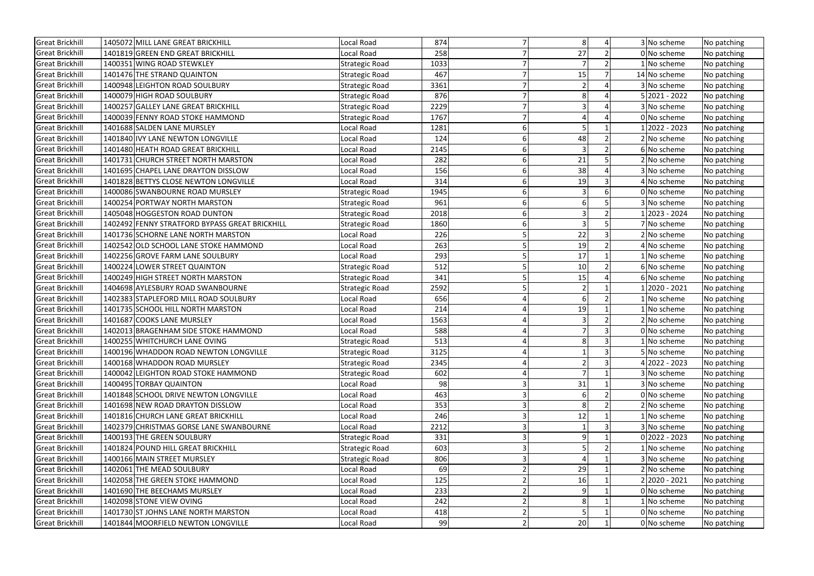| <b>Great Brickhill</b> | 1405072 MILL LANE GREAT BRICKHILL              | Local Road            | 874  | 8               |  | 3 No scheme   | No patching |
|------------------------|------------------------------------------------|-----------------------|------|-----------------|--|---------------|-------------|
| <b>Great Brickhill</b> | 1401819 GREEN END GREAT BRICKHILL              | Local Road            | 258  | 27              |  | 0 No scheme   | No patching |
| <b>Great Brickhill</b> | 1400351 WING ROAD STEWKLEY                     | <b>Strategic Road</b> | 1033 |                 |  | 1 No scheme   | No patching |
| <b>Great Brickhill</b> | 1401476 THE STRAND QUAINTON                    | <b>Strategic Road</b> | 467  | 15              |  | 14 No scheme  | No patching |
| <b>Great Brickhill</b> | 1400948 LEIGHTON ROAD SOULBURY                 | <b>Strategic Road</b> | 3361 |                 |  | 3 No scheme   | No patching |
| <b>Great Brickhill</b> | 1400079 HIGH ROAD SOULBURY                     | <b>Strategic Road</b> | 876  |                 |  | 5 2021 - 2022 | No patching |
| <b>Great Brickhill</b> | 1400257 GALLEY LANE GREAT BRICKHILL            | <b>Strategic Road</b> | 2229 |                 |  | 3 No scheme   | No patching |
| <b>Great Brickhill</b> | 1400039 FENNY ROAD STOKE HAMMOND               | <b>Strategic Road</b> | 1767 |                 |  | 0 No scheme   | No patching |
| <b>Great Brickhill</b> | 1401688 SALDEN LANE MURSLEY                    | <b>Local Road</b>     | 1281 |                 |  | 2022 - 2023   | No patching |
| <b>Great Brickhill</b> | 1401840 IVY LANE NEWTON LONGVILLE              | Local Road            | 124  | 48              |  | 2 No scheme   | No patching |
| <b>Great Brickhill</b> | 1401480 HEATH ROAD GREAT BRICKHILL             | Local Road            | 2145 |                 |  | 6 No scheme   | No patching |
| <b>Great Brickhill</b> | 1401731 CHURCH STREET NORTH MARSTON            | Local Road            | 282  | 21              |  | 2 No scheme   | No patching |
| <b>Great Brickhill</b> | 1401695 CHAPEL LANE DRAYTON DISSLOW            | Local Road            | 156  | 38              |  | 3 No scheme   | No patching |
| <b>Great Brickhill</b> | 1401828 BETTYS CLOSE NEWTON LONGVILLE          | Local Road            | 314  | 19              |  | 4 No scheme   | No patching |
| <b>Great Brickhill</b> | 1400086 SWANBOURNE ROAD MURSLEY                | <b>Strategic Road</b> | 1945 |                 |  | 0 No scheme   | No patching |
| <b>Great Brickhill</b> | 1400254 PORTWAY NORTH MARSTON                  | <b>Strategic Road</b> | 961  |                 |  | 3 No scheme   | No patching |
| <b>Great Brickhill</b> | 1405048 HOGGESTON ROAD DUNTON                  | <b>Strategic Road</b> | 2018 |                 |  | 2023 - 2024   | No patching |
| <b>Great Brickhill</b> | 1402492 FENNY STRATFORD BYPASS GREAT BRICKHILL | <b>Strategic Road</b> | 1860 |                 |  | 7 No scheme   | No patching |
| <b>Great Brickhill</b> | 1401736 SCHORNE LANE NORTH MARSTON             | <b>Local Road</b>     | 226  | 22              |  | 2 No scheme   | No patching |
| <b>Great Brickhill</b> | 1402542 OLD SCHOOL LANE STOKE HAMMOND          | Local Road            | 263  | 19              |  | 4 No scheme   | No patching |
| <b>Great Brickhill</b> | 1402256 GROVE FARM LANE SOULBURY               | Local Road            | 293  | 17              |  | No scheme     | No patching |
| <b>Great Brickhill</b> | 1400224 LOWER STREET QUAINTON                  | Strategic Road        | 512  | $10\,$          |  | 6 No scheme   | No patching |
| <b>Great Brickhill</b> | 1400249 HIGH STREET NORTH MARSTON              | <b>Strategic Road</b> | 341  | 15 <sub>1</sub> |  | 6 No scheme   | No patching |
| <b>Great Brickhill</b> | 1404698 AYLESBURY ROAD SWANBOURNE              | <b>Strategic Road</b> | 2592 |                 |  | 2020 - 2021   | No patching |
| <b>Great Brickhill</b> | 1402383 STAPLEFORD MILL ROAD SOULBURY          | Local Road            | 656  |                 |  | No scheme     | No patching |
| <b>Great Brickhill</b> | 1401735 SCHOOL HILL NORTH MARSTON              | Local Road            | 214  | 19              |  | No scheme     | No patching |
| <b>Great Brickhill</b> | 1401687 COOKS LANE MURSLEY                     | Local Road            | 1563 |                 |  | 2 No scheme   | No patching |
| <b>Great Brickhill</b> | 1402013 BRAGENHAM SIDE STOKE HAMMOND           | Local Road            | 588  |                 |  | 0 No scheme   | No patching |
| <b>Great Brickhill</b> | 1400255 WHITCHURCH LANE OVING                  | Strategic Road        | 513  |                 |  | 1 No scheme   | No patching |
| <b>Great Brickhill</b> | 1400196 WHADDON ROAD NEWTON LONGVILLE          | <b>Strategic Road</b> | 3125 |                 |  | 5 No scheme   | No patching |
| <b>Great Brickhill</b> | 1400168 WHADDON ROAD MURSLEY                   | <b>Strategic Road</b> | 2345 |                 |  | 4 2022 - 2023 | No patching |
| <b>Great Brickhill</b> | 1400042 LEIGHTON ROAD STOKE HAMMOND            | Strategic Road        | 602  |                 |  | 3 No scheme   | No patching |
| <b>Great Brickhill</b> | 1400495 TORBAY QUAINTON                        | Local Road            | 98   | 31              |  | 3 No scheme   | No patching |
| <b>Great Brickhill</b> | 1401848 SCHOOL DRIVE NEWTON LONGVILLE          | Local Road            | 463  |                 |  | 0 No scheme   | No patching |
| <b>Great Brickhill</b> | 1401698 NEW ROAD DRAYTON DISSLOW               | Local Road            | 353  |                 |  | 2 No scheme   | No patching |
| <b>Great Brickhill</b> | 1401816 CHURCH LANE GREAT BRICKHILL            | Local Road            | 246  | 12              |  | No scheme     | No patching |
| <b>Great Brickhill</b> | 1402379 CHRISTMAS GORSE LANE SWANBOURNE        | Local Road            | 2212 |                 |  | 3 No scheme   | No patching |
| <b>Great Brickhill</b> | 1400193 THE GREEN SOULBURY                     | <b>Strategic Road</b> | 331  |                 |  | 0 2022 - 2023 | No patching |
| <b>Great Brickhill</b> | 1401824 POUND HILL GREAT BRICKHILL             | <b>Strategic Road</b> | 603  |                 |  | No scheme     | No patching |
| <b>Great Brickhill</b> | 1400166 MAIN STREET MURSLEY                    | <b>Strategic Road</b> | 806  |                 |  | 3 No scheme   | No patching |
| <b>Great Brickhill</b> | 1402061 THE MEAD SOULBURY                      | Local Road            | 69   | 29              |  | 2 No scheme   | No patching |
| <b>Great Brickhill</b> | 1402058 THE GREEN STOKE HAMMOND                | Local Road            | 125  | 16              |  | 2 2020 - 2021 |             |
| <b>Great Brickhill</b> | 1401690 THE BEECHAMS MURSLEY                   |                       |      |                 |  |               | No patching |
|                        | 1402098 STONE VIEW OVING                       | Local Road            | 233  |                 |  | 0 No scheme   | No patching |
| <b>Great Brickhill</b> |                                                | Local Road            | 242  |                 |  | No scheme     | No patching |
| <b>Great Brickhill</b> | 1401730 ST JOHNS LANE NORTH MARSTON            | Local Road            | 418  |                 |  | 0 No scheme   | No patching |
| <b>Great Brickhill</b> | 1401844 MOORFIELD NEWTON LONGVILLE             | Local Road            | 99   | 20              |  | 0 No scheme   | No patching |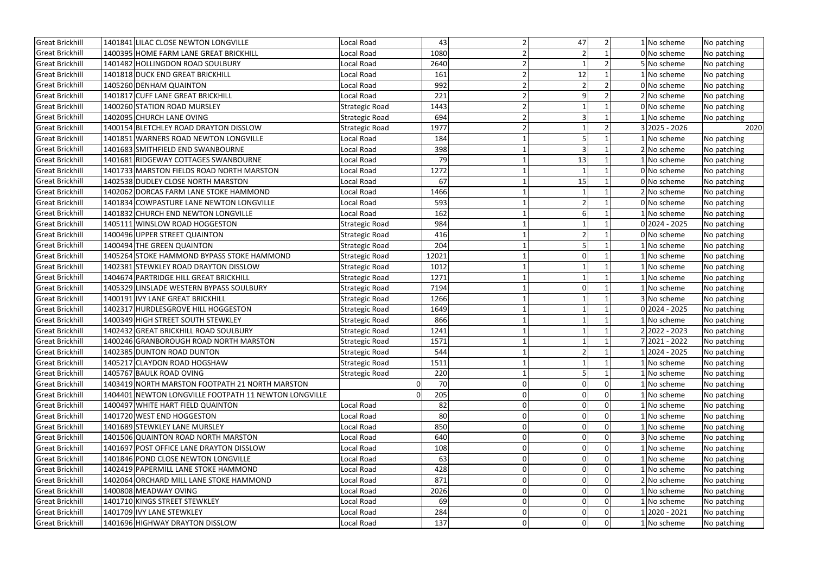| <b>Great Brickhill</b> | 1401841 LILAC CLOSE NEWTON LONGVILLE                            | Local Road                                     | 43       |                      | 47       |  | 1 No scheme     | No patching                |
|------------------------|-----------------------------------------------------------------|------------------------------------------------|----------|----------------------|----------|--|-----------------|----------------------------|
| <b>Great Brickhill</b> | 1400395 HOME FARM LANE GREAT BRICKHILL                          | Local Road                                     | 1080     |                      |          |  | 0 No scheme     | No patching                |
| <b>Great Brickhill</b> | 1401482 HOLLINGDON ROAD SOULBURY                                | Local Road                                     | 2640     |                      |          |  | 5 No scheme     | No patching                |
| <b>Great Brickhill</b> | 1401818 DUCK END GREAT BRICKHILL                                | Local Road                                     | 161      |                      | 12       |  | No scheme       | No patching                |
| <b>Great Brickhill</b> | 1405260 DENHAM QUAINTON                                         | Local Road                                     | 992      |                      |          |  | 0 No scheme     | No patching                |
| <b>Great Brickhill</b> | 1401817 CUFF LANE GREAT BRICKHILL                               | Local Road                                     | 221      |                      | 9        |  | 2 No scheme     | No patching                |
| <b>Great Brickhill</b> | 1400260 STATION ROAD MURSLEY                                    | <b>Strategic Road</b>                          | 1443     |                      |          |  | 0 No scheme     | No patching                |
| <b>Great Brickhill</b> | 1402095 CHURCH LANE OVING                                       | <b>Strategic Road</b>                          | 694      |                      |          |  | No scheme       | No patching                |
| <b>Great Brickhill</b> | 1400154 BLETCHLEY ROAD DRAYTON DISSLOW                          | <b>Strategic Road</b>                          | 1977     |                      |          |  | 2025 - 2026     | 2020                       |
| <b>Great Brickhill</b> | 1401851 WARNERS ROAD NEWTON LONGVILLE                           | Local Road                                     | 184      |                      |          |  | No scheme       | No patching                |
| <b>Great Brickhill</b> | 1401683 SMITHFIELD END SWANBOURNE                               | Local Road                                     | 398      |                      |          |  | 2 No scheme     | No patching                |
| <b>Great Brickhill</b> | 1401681 RIDGEWAY COTTAGES SWANBOURNE                            | Local Road                                     | 79       |                      | 13       |  | No scheme       | No patching                |
| <b>Great Brickhill</b> | 1401733 MARSTON FIELDS ROAD NORTH MARSTON                       | Local Road                                     | 1272     |                      |          |  | 0 No scheme     | No patching                |
| <b>Great Brickhill</b> | 1402538 DUDLEY CLOSE NORTH MARSTON                              | Local Road                                     | 67       |                      | 15       |  | 0 No scheme     | No patching                |
| <b>Great Brickhill</b> | 1402062 DORCAS FARM LANE STOKE HAMMOND                          | Local Road                                     | 1466     |                      |          |  | lNo scheme?     | No patching                |
| <b>Great Brickhill</b> | 1401834 COWPASTURE LANE NEWTON LONGVILLE                        | Local Road                                     | 593      |                      |          |  | 0 No scheme     | No patching                |
| <b>Great Brickhill</b> | 1401832 CHURCH END NEWTON LONGVILLE                             | Local Road                                     | 162      |                      |          |  | No scheme       | No patching                |
| <b>Great Brickhill</b> | 1405111 WINSLOW ROAD HOGGESTON                                  | <b>Strategic Road</b>                          | 984      |                      |          |  | $0 2024 - 2025$ | No patching                |
| <b>Great Brickhill</b> | 1400496 UPPER STREET QUAINTON                                   | <b>Strategic Road</b>                          | 416      |                      |          |  | 0 No scheme     | No patching                |
| <b>Great Brickhill</b> | 1400494 THE GREEN QUAINTON                                      | <b>Strategic Road</b>                          | 204      |                      |          |  | No scheme       | No patching                |
| <b>Great Brickhill</b> | 1405264 STOKE HAMMOND BYPASS STOKE HAMMOND                      | <b>Strategic Road</b>                          | 12021    |                      |          |  | No scheme       | No patching                |
| <b>Great Brickhill</b> | 1402381 STEWKLEY ROAD DRAYTON DISSLOW                           | <b>Strategic Road</b>                          | 1012     |                      |          |  | No scheme       | No patching                |
| <b>Great Brickhill</b> | 1404674 PARTRIDGE HILL GREAT BRICKHILL                          | <b>Strategic Road</b>                          | 1271     |                      |          |  | No scheme       | No patching                |
| <b>Great Brickhill</b> | 1405329 LINSLADE WESTERN BYPASS SOULBURY                        | <b>Strategic Road</b>                          | 7194     |                      |          |  | No scheme       | No patching                |
| <b>Great Brickhill</b> | 1400191 IVY LANE GREAT BRICKHILL                                | <b>Strategic Road</b>                          | 1266     |                      |          |  | 3 No scheme     | No patching                |
| <b>Great Brickhill</b> | 1402317 HURDLESGROVE HILL HOGGESTON                             | <b>Strategic Road</b>                          | 1649     |                      |          |  | $0 2024 - 2025$ | No patching                |
| <b>Great Brickhill</b> | 1400349 HIGH STREET SOUTH STEWKLEY                              |                                                | 866      |                      |          |  | No scheme       | No patching                |
| <b>Great Brickhill</b> | 1402432 GREAT BRICKHILL ROAD SOULBURY                           | <b>Strategic Road</b><br><b>Strategic Road</b> | 1241     |                      |          |  | 22022 - 2023    | No patching                |
| <b>Great Brickhill</b> | 1400246 GRANBOROUGH ROAD NORTH MARSTON                          | <b>Strategic Road</b>                          | 1571     |                      |          |  | 7 2021 - 2022   |                            |
| <b>Great Brickhill</b> | 1402385 DUNTON ROAD DUNTON                                      |                                                | 544      |                      |          |  | 2024 - 2025     | No patching                |
| <b>Great Brickhill</b> | 1405217 CLAYDON ROAD HOGSHAW                                    | <b>Strategic Road</b><br>Strategic Road        | 1511     |                      |          |  | No scheme       | No patching<br>No patching |
| <b>Great Brickhill</b> | 1405767 BAULK ROAD OVING                                        |                                                | 220      |                      |          |  | No scheme       |                            |
| <b>Great Brickhill</b> | 1403419 NORTH MARSTON FOOTPATH 21 NORTH MARSTON                 | <b>Strategic Road</b>                          | 70       | $\overline{0}$       | ∩        |  | No scheme       | No patching                |
| <b>Great Brickhill</b> | 1404401 NEWTON LONGVILLE FOOTPATH 11 NEWTON LONGVILLE           |                                                | 205      |                      |          |  | No scheme       | No patching                |
| <b>Great Brickhill</b> |                                                                 | Local Road                                     |          | 01<br>$\overline{0}$ |          |  |                 | No patching                |
| <b>Great Brickhill</b> | 1400497 WHITE HART FIELD QUAINTON<br>1401720 WEST END HOGGESTON | Local Road                                     | 82<br>80 |                      |          |  | No scheme       | No patching                |
|                        | 1401689 STEWKLEY LANE MURSLEY                                   |                                                |          | $\overline{0}$       |          |  | No scheme       | No patching                |
| <b>Great Brickhill</b> |                                                                 | Local Road                                     | 850      | 0                    |          |  | No scheme       | No patching                |
| <b>Great Brickhill</b> | 1401506 QUAINTON ROAD NORTH MARSTON                             | Local Road                                     | 640      | $\overline{0}$       |          |  | 3 No scheme     | No patching                |
| <b>Great Brickhill</b> | 1401697 POST OFFICE LANE DRAYTON DISSLOW                        | Local Road                                     | 108      | 0                    |          |  | No scheme       | No patching                |
| <b>Great Brickhill</b> | 1401846 POND CLOSE NEWTON LONGVILLE                             | Local Road                                     | 63       | $\overline{0}$       |          |  | No scheme       | No patching                |
| <b>Great Brickhill</b> | 1402419 PAPERMILL LANE STOKE HAMMOND                            | Local Road                                     | 428      | $\overline{0}$       | $\Omega$ |  | L No scheme     | No patching                |
| <b>Great Brickhill</b> | 1402064 ORCHARD MILL LANE STOKE HAMMOND                         | Local Road                                     | 871      | $\overline{0}$       |          |  | 2 No scheme     | No patching                |
| <b>Great Brickhill</b> | 1400808 MEADWAY OVING                                           | Local Road                                     | 2026     | $\overline{0}$       |          |  | No scheme       | No patching                |
| <b>Great Brickhill</b> | 1401710 KINGS STREET STEWKLEY                                   | Local Road                                     | 69       | 0                    |          |  | No scheme       | No patching                |
| <b>Great Brickhill</b> | 1401709 IVY LANE STEWKLEY                                       | Local Road                                     | 284      | $\overline{0}$       | $\Omega$ |  | 2020 - 2021     | No patching                |
| <b>Great Brickhill</b> | 1401696 HIGHWAY DRAYTON DISSLOW                                 | Local Road                                     | 137      | $\overline{0}$       | $\Omega$ |  | l No scheme     | No patching                |